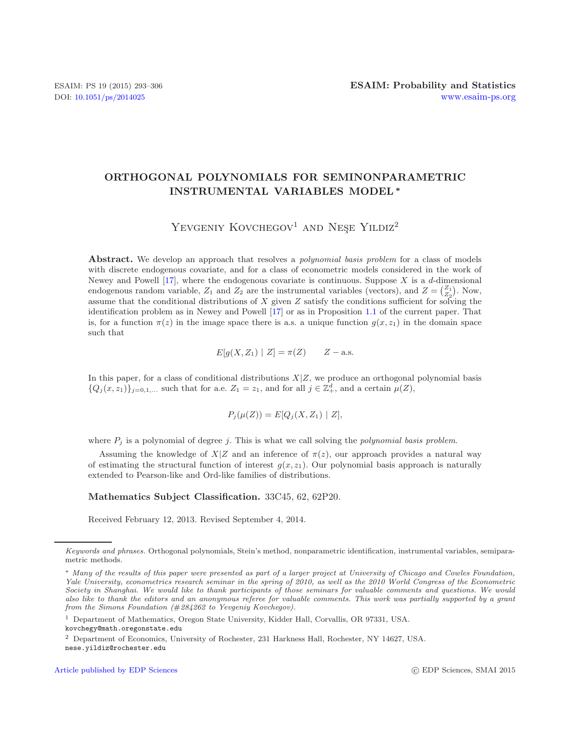# **ORTHOGONAL POLYNOMIALS FOR SEMINONPARAMETRIC INSTRUMENTAL VARIABLES MODEL***∗*

# YEVGENIY KOVCHEGOV<sup>1</sup> AND NESE YILDIZ<sup>2</sup>

**Abstract.** We develop an approach that resolves a *polynomial basis problem* for a class of models with discrete endogenous covariate, and for a class of econometric models considered in the work of Newey and Powell [\[17\]](#page-13-0), where the endogenous covariate is continuous. Suppose X is a d-dimensional endogenous random variable,  $Z_1$  and  $Z_2$  are the instrumental variables (vectors), and  $Z = \begin{pmatrix} Z_1 \\ Z_2 \end{pmatrix}$ . Now, assume that the conditional distributions of X given  $Z$  satisfy the conditions sufficient for solving the identification problem as in Newey and Powell [\[17](#page-13-0)] or as in Proposition [1.1](#page-3-0) of the current paper. That is, for a function  $\pi(z)$  in the image space there is a.s. a unique function  $g(x, z_1)$  in the domain space such that

$$
E[g(X, Z_1) | Z] = \pi(Z) \qquad Z - \text{a.s.}
$$

In this paper, for a class of conditional distributions  $X|Z$ , we produce an orthogonal polynomial basis  ${Q_j(x, z_1)}_{j=0,1,\dots}$  such that for a.e.  $Z_1 = z_1$ , and for all  $j \in \mathbb{Z}_+^d$ , and a certain  $\mu(Z)$ ,

$$
P_j(\mu(Z)) = E[Q_j(X, Z_1) | Z],
$$

where P*<sup>j</sup>* is a polynomial of degree j. This is what we call solving the *polynomial basis problem*.

Assuming the knowledge of  $X|Z$  and an inference of  $\pi(z)$ , our approach provides a natural way of estimating the structural function of interest  $g(x, z_1)$ . Our polynomial basis approach is naturally extended to Pearson-like and Ord-like families of distributions.

#### **Mathematics Subject Classification.** 33C45, 62, 62P20.

Received February 12, 2013. Revised September 4, 2014.

*Keywords and phrases.* Orthogonal polynomials, Stein's method, nonparametric identification, instrumental variables, semiparametric methods.

<sup>∗</sup> *Many of the results of this paper were presented as part of a larger project at University of Chicago and Cowles Foundation, Yale University, econometrics research seminar in the spring of 2010, as well as the 2010 World Congress of the Econometric Society in Shanghai. We would like to thank participants of those seminars for valuable comments and questions. We would also like to thank the editors and an anonymous referee for valuable comments. This work was partially supported by a grant from the Simons Foundation (*#*284262 to Yevgeniy Kovchegov).*

<sup>1</sup> Department of Mathematics, Oregon State University, Kidder Hall, Corvallis, OR 97331, USA. kovchegy@math.oregonstate.edu

<sup>2</sup> Department of Economics, University of Rochester, 231 Harkness Hall, Rochester, NY 14627, USA. nese.yildiz@rochester.edu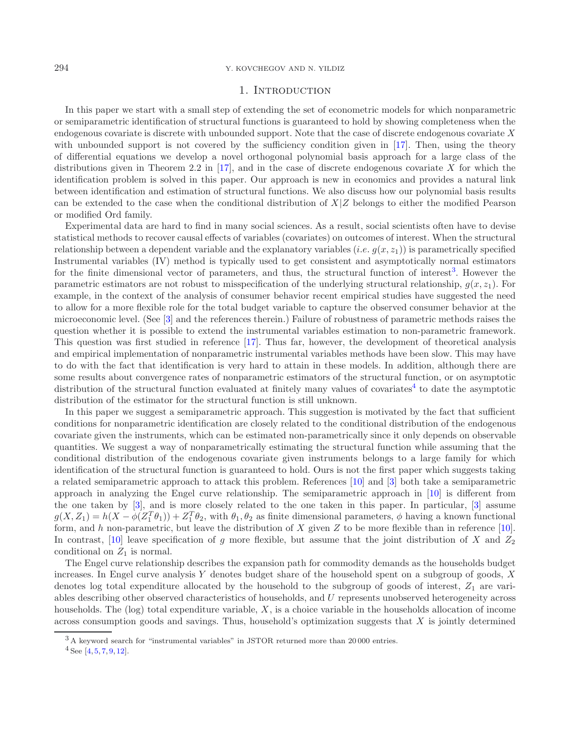# 1. INTRODUCTION

<span id="page-1-2"></span>In this paper we start with a small step of extending the set of econometric models for which nonparametric or semiparametric identification of structural functions is guaranteed to hold by showing completeness when the endogenous covariate is discrete with unbounded support. Note that the case of discrete endogenous covariate X with unbounded support is not covered by the sufficiency condition given in [\[17\]](#page-13-0). Then, using the theory of differential equations we develop a novel orthogonal polynomial basis approach for a large class of the distributions given in Theorem 2.2 in [\[17](#page-13-0)], and in the case of discrete endogenous covariate X for which the identification problem is solved in this paper. Our approach is new in economics and provides a natural link between identification and estimation of structural functions. We also discuss how our polynomial basis results can be extended to the case when the conditional distribution of  $X|Z$  belongs to either the modified Pearson or modified Ord family.

Experimental data are hard to find in many social sciences. As a result, social scientists often have to devise statistical methods to recover causal effects of variables (covariates) on outcomes of interest. When the structural relationship between a dependent variable and the explanatory variables  $(i.e. g(x, z_1))$  is parametrically specified Instrumental variables (IV) method is typically used to get consistent and asymptotically normal estimators for the finite dimensional vector of parameters, and thus, the structural function of interest<sup>[3](#page-1-0)</sup>. However the parametric estimators are not robust to misspecification of the underlying structural relationship,  $g(x, z_1)$ . For example, in the context of the analysis of consumer behavior recent empirical studies have suggested the need to allow for a more flexible role for the total budget variable to capture the observed consumer behavior at the microeconomic level. (See [\[3](#page-13-1)] and the references therein.) Failure of robustness of parametric methods raises the question whether it is possible to extend the instrumental variables estimation to non-parametric framework. This question was first studied in reference [\[17](#page-13-0)]. Thus far, however, the development of theoretical analysis and empirical implementation of nonparametric instrumental variables methods have been slow. This may have to do with the fact that identification is very hard to attain in these models. In addition, although there are some results about convergence rates of nonparametric estimators of the structural function, or on asymptotic distribution of the structural function evaluated at finitely many values of covariates<sup>[4](#page-1-1)</sup> to date the asymptotic distribution of the estimator for the structural function is still unknown.

In this paper we suggest a semiparametric approach. This suggestion is motivated by the fact that sufficient conditions for nonparametric identification are closely related to the conditional distribution of the endogenous covariate given the instruments, which can be estimated non-parametrically since it only depends on observable quantities. We suggest a way of nonparametrically estimating the structural function while assuming that the conditional distribution of the endogenous covariate given instruments belongs to a large family for which identification of the structural function is guaranteed to hold. Ours is not the first paper which suggests taking a related semiparametric approach to attack this problem. References [\[10](#page-13-2)] and [\[3\]](#page-13-1) both take a semiparametric approach in analyzing the Engel curve relationship. The semiparametric approach in [\[10\]](#page-13-2) is different from the one taken by [\[3](#page-13-1)], and is more closely related to the one taken in this paper. In particular, [\[3](#page-13-1)] assume  $g(X, Z_1) = h(X - \phi(Z_1^T \theta_1)) + Z_1^T \theta_2$ , with  $\theta_1, \theta_2$  as finite dimensional parameters,  $\phi$  having a known functional form, and h non-parametric, but leave the distribution of X given Z to be more flexible than in reference [\[10](#page-13-2)]. In contrast, [\[10\]](#page-13-2) leave specification of g more flexible, but assume that the joint distribution of X and  $Z_2$ conditional on  $Z_1$  is normal.

<span id="page-1-1"></span><span id="page-1-0"></span>The Engel curve relationship describes the expansion path for commodity demands as the households budget increases. In Engel curve analysis Y denotes budget share of the household spent on a subgroup of goods, X denotes log total expenditure allocated by the household to the subgroup of goods of interest,  $Z_1$  are variables describing other observed characteristics of households, and U represents unobserved heterogeneity across households. The  $(\log)$  total expenditure variable, X, is a choice variable in the households allocation of income across consumption goods and savings. Thus, household's optimization suggests that  $X$  is jointly determined

<sup>3</sup> A keyword search for "instrumental variables" in JSTOR returned more than 20 000 entries.

 $4$  See [\[4](#page-13-3), [5,](#page-13-4) [7](#page-13-5), [9](#page-13-6), [12](#page-13-7)].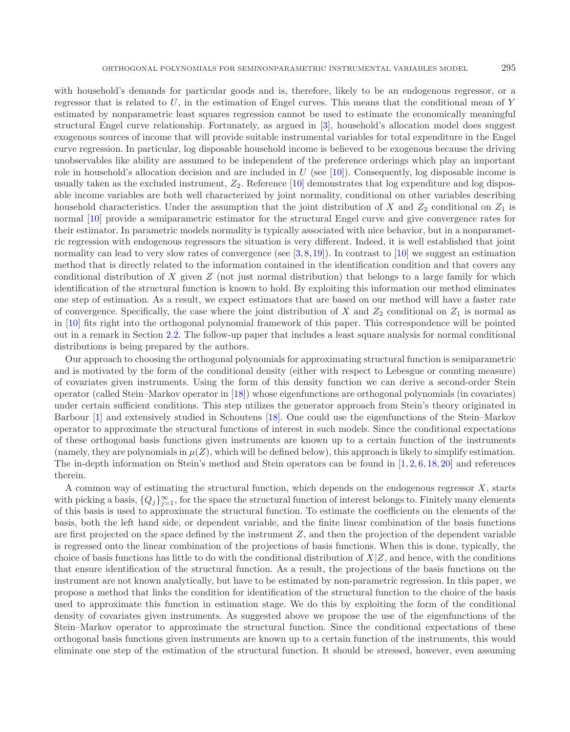with household's demands for particular goods and is, therefore, likely to be an endogenous regressor, or a regressor that is related to  $U$ , in the estimation of Engel curves. This means that the conditional mean of Y estimated by nonparametric least squares regression cannot be used to estimate the economically meaningful structural Engel curve relationship. Fortunately, as argued in [\[3](#page-13-1)], household's allocation model does suggest exogenous sources of income that will provide suitable instrumental variables for total expenditure in the Engel curve regression. In particular, log disposable household income is believed to be exogenous because the driving unobservables like ability are assumed to be independent of the preference orderings which play an important role in household's allocation decision and are included in  $U$  (see [\[10](#page-13-2)]). Consequently, log disposable income is usually taken as the excluded instrument,  $Z_2$ . Reference [\[10](#page-13-2)] demonstrates that log expenditure and log disposable income variables are both well characterized by joint normality, conditional on other variables describing household characteristics. Under the assumption that the joint distribution of X and  $Z_2$  conditional on  $Z_1$  is normal [\[10\]](#page-13-2) provide a semiparametric estimator for the structural Engel curve and give convergence rates for their estimator. In parametric models normality is typically associated with nice behavior, but in a nonparametric regression with endogenous regressors the situation is very different. Indeed, it is well established that joint normality can lead to very slow rates of convergence (see  $[3,8,19]$  $[3,8,19]$  $[3,8,19]$ ). In contrast to  $[10]$  we suggest an estimation method that is directly related to the information contained in the identification condition and that covers any conditional distribution of X given  $Z$  (not just normal distribution) that belongs to a large family for which identification of the structural function is known to hold. By exploiting this information our method eliminates one step of estimation. As a result, we expect estimators that are based on our method will have a faster rate of convergence. Specifically, the case where the joint distribution of X and  $Z_2$  conditional on  $Z_1$  is normal as in [\[10](#page-13-2)] fits right into the orthogonal polynomial framework of this paper. This correspondence will be pointed out in a remark in Section [2.2.](#page-6-0) The follow-up paper that includes a least square analysis for normal conditional distributions is being prepared by the authors.

Our approach to choosing the orthogonal polynomials for approximating structural function is semiparametric and is motivated by the form of the conditional density (either with respect to Lebesgue or counting measure) of covariates given instruments. Using the form of this density function we can derive a second-order Stein operator (called Stein–Markov operator in [\[18](#page-13-10)]) whose eigenfunctions are orthogonal polynomials (in covariates) under certain sufficient conditions. This step utilizes the generator approach from Stein's theory originated in Barbour [\[1\]](#page-13-11) and extensively studied in Schoutens [\[18](#page-13-10)]. One could use the eigenfunctions of the Stein–Markov operator to approximate the structural functions of interest in such models. Since the conditional expectations of these orthogonal basis functions given instruments are known up to a certain function of the instruments (namely, they are polynomials in  $\mu(Z)$ , which will be defined below), this approach is likely to simplify estimation. The in-depth information on Stein's method and Stein operators can be found in  $[1, 2, 6, 18, 20]$  $[1, 2, 6, 18, 20]$  $[1, 2, 6, 18, 20]$  $[1, 2, 6, 18, 20]$  $[1, 2, 6, 18, 20]$  $[1, 2, 6, 18, 20]$  $[1, 2, 6, 18, 20]$  $[1, 2, 6, 18, 20]$  $[1, 2, 6, 18, 20]$  $[1, 2, 6, 18, 20]$  and references therein.

A common way of estimating the structural function, which depends on the endogenous regressor  $X$ , starts with picking a basis,  $\{Q_j\}_{j=1}^{\infty}$ , for the space the structural function of interest belongs to. Finitely many elements of this basis is used to approximate the structural function. To estimate the coefficients on the elements of the basis, both the left hand side, or dependent variable, and the finite linear combination of the basis functions are first projected on the space defined by the instrument Z, and then the projection of the dependent variable is regressed onto the linear combination of the projections of basis functions. When this is done, typically, the choice of basis functions has little to do with the conditional distribution of  $X|Z$ , and hence, with the conditions that ensure identification of the structural function. As a result, the projections of the basis functions on the instrument are not known analytically, but have to be estimated by non-parametric regression. In this paper, we propose a method that links the condition for identification of the structural function to the choice of the basis used to approximate this function in estimation stage. We do this by exploiting the form of the conditional density of covariates given instruments. As suggested above we propose the use of the eigenfunctions of the Stein–Markov operator to approximate the structural function. Since the conditional expectations of these orthogonal basis functions given instruments are known up to a certain function of the instruments, this would eliminate one step of the estimation of the structural function. It should be stressed, however, even assuming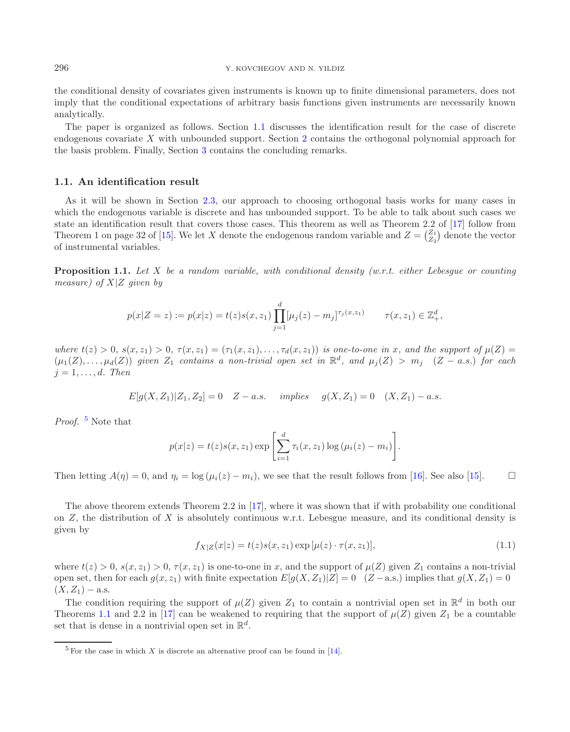296 Y. KOVCHEGOV AND N. YILDIZ

<span id="page-3-0"></span>the conditional density of covariates given instruments is known up to finite dimensional parameters, does not imply that the conditional expectations of arbitrary basis functions given instruments are necessarily known analytically.

The paper is organized as follows. Section [1.1](#page-3-1) discusses the identification result for the case of discrete endogenous covariate X with unbounded support. Section [2](#page-4-0) contains the orthogonal polynomial approach for the basis problem. Finally, Section [3](#page-13-15) contains the concluding remarks.

### <span id="page-3-1"></span>**1.1. An identification result**

As it will be shown in Section [2.3,](#page-10-0) our approach to choosing orthogonal basis works for many cases in which the endogenous variable is discrete and has unbounded support. To be able to talk about such cases we state an identification result that covers those cases. This theorem as well as Theorem 2.2 of [\[17\]](#page-13-0) follow from Theorem 1 on page 32 of [\[15\]](#page-13-16). We let X denote the endogenous random variable and  $Z = \begin{pmatrix} Z_1 \\ Z_2 \end{pmatrix}$  denote the vector of instrumental variables.

**Proposition 1.1.** *Let* X *be a random variable, with conditional density (w.r.t. either Lebesgue or counting measure) of* X|Z *given by*

$$
p(x|Z = z) := p(x|z) = t(z)s(x, z_1) \prod_{j=1}^d [\mu_j(z) - m_j]^{\tau_j(x, z_1)} \qquad \tau(x, z_1) \in \mathbb{Z}_+^d,
$$

*where*  $t(z) > 0$ ,  $s(x, z_1) > 0$ ,  $\tau(x, z_1) = (\tau_1(x, z_1), \ldots, \tau_d(x, z_1))$  *is one-to-one in* x, and the support of  $\mu(Z) =$  $(\mu_1(Z),\ldots,\mu_d(Z))$  *given*  $Z_1$  *contains a non-trivial open set in*  $\mathbb{R}^d$ *, and*  $\mu_j(Z) > m_j$   $(Z - a.s.)$  *for each*  $j = 1, \ldots, d$ *. Then* 

$$
E[g(X, Z_1)|Z_1, Z_2] = 0 \quad Z - a.s. \quad implies \quad g(X, Z_1) = 0 \quad (X, Z_1) - a.s.
$$

*Proof.* [5](#page-3-2) Note that

$$
p(x|z) = t(z)s(x, z_1) \exp \left[\sum_{i=1}^{d} \tau_i(x, z_1) \log (\mu_i(z) - m_i)\right].
$$

Then letting  $A(\eta) = 0$ , and  $\eta_i = \log(\mu_i(z) - m_i)$ , we see that the result follows from [\[16](#page-13-17)]. See also [\[15](#page-13-16)].  $\Box$ 

<span id="page-3-2"></span>The above theorem extends Theorem 2.2 in [\[17\]](#page-13-0), where it was shown that if with probability one conditional on Z, the distribution of X is absolutely continuous w.r.t. Lebesgue measure, and its conditional density is given by

$$
f_{X|Z}(x|z) = t(z)s(x, z_1) \exp[\mu(z) \cdot \tau(x, z_1)],
$$
\n(1.1)

where  $t(z) > 0$ ,  $s(x, z_1) > 0$ ,  $\tau(x, z_1)$  is one-to-one in x, and the support of  $\mu(Z)$  given  $Z_1$  contains a non-trivial open set, then for each  $g(x, z_1)$  with finite expectation  $E[g(X, Z_1)|Z]=0$  (Z – a.s.) implies that  $g(X, Z_1)=0$  $(X, Z_1) -$ a.s.

The condition requiring the support of  $\mu(Z)$  given  $Z_1$  to contain a nontrivial open set in  $\mathbb{R}^d$  in both our Theorems [1.1](#page-3-0) and 2.2 in [\[17\]](#page-13-0) can be weakened to requiring that the support of  $\mu(Z)$  given  $Z_1$  be a countable set that is dense in a nontrivial open set in  $\mathbb{R}^d$ .

 $5$  For the case in which X is discrete an alternative proof can be found in [\[14\]](#page-13-18).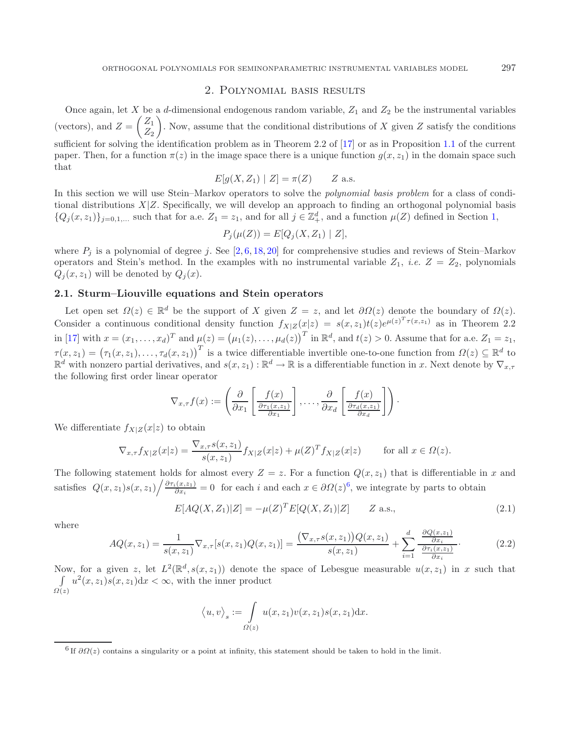# 2. Polynomial basis results

<span id="page-4-0"></span>Once again, let X be a d-dimensional endogenous random variable,  $Z_1$  and  $Z_2$  be the instrumental variables (vectors), and  $Z = \begin{pmatrix} Z_1 \\ Z_2 \end{pmatrix}$  $Z_2$ ). Now, assume that the conditional distributions of  $X$  given  $Z$  satisfy the conditions sufficient for solving the identification problem as in Theorem 2.2 of [\[17\]](#page-13-0) or as in Proposition [1.1](#page-3-0) of the current paper. Then, for a function  $\pi(z)$  in the image space there is a unique function  $g(x, z_1)$  in the domain space such that

$$
E[g(X, Z_1) | Z] = \pi(Z) \qquad Z \text{ a.s.}
$$

In this section we will use Stein–Markov operators to solve the *polynomial basis problem* for a class of conditional distributions  $X|Z$ . Specifically, we will develop an approach to finding an orthogonal polynomial basis  $\{Q_j(x, z_1)\}_{j=0,1,\ldots}$  $\{Q_j(x, z_1)\}_{j=0,1,\ldots}$  $\{Q_j(x, z_1)\}_{j=0,1,\ldots}$  such that for a.e.  $Z_1 = z_1$ , and for all  $j \in \mathbb{Z}_+^d$ , and a function  $\mu(Z)$  defined in Section 1,

<span id="page-4-3"></span>
$$
P_j(\mu(Z)) = E[Q_j(X, Z_1) | Z],
$$

where  $P_i$  is a polynomial of degree j. See [\[2](#page-13-12), [6](#page-13-13), [18,](#page-13-10) [20\]](#page-13-14) for comprehensive studies and reviews of Stein–Markov operators and Stein's method. In the examples with no instrumental variable  $Z_1$ , *i.e.*  $Z = Z_2$ , polynomials  $Q_i(x, z_1)$  will be denoted by  $Q_i(x)$ .

## **2.1. Sturm–Liouville equations and Stein operators**

Let open set  $\Omega(z) \in \mathbb{R}^d$  be the support of X given  $Z = z$ , and let  $\partial \Omega(z)$  denote the boundary of  $\Omega(z)$ . Consider a continuous conditional density function  $f_{X|Z}(x|z) = s(x, z_1)t(z)e^{\mu(z)^T \tau(x, z_1)}$  as in Theorem 2.2 in [\[17\]](#page-13-0) with  $x = (x_1, \ldots, x_d)^T$  and  $\mu(z) = (\mu_1(z), \ldots, \mu_d(z))^T$  in  $\mathbb{R}^d$ , and  $t(z) > 0$ . Assume that for a.e.  $Z_1 = z_1$ ,  $\tau(x, z_1) = (\tau_1(x, z_1), \ldots, \tau_d(x, z_1))^T$  is a twice differentiable invertible one-to-one function from  $\Omega(z) \subseteq \mathbb{R}^d$  to  $\mathbb{R}^d$  with nonzero partial derivatives, and  $s(x, z_1) : \mathbb{R}^d \to \mathbb{R}$  is a differentiable function in x. Next denote by  $\nabla_{x, \tau}$ the following first order linear operator

$$
\nabla_{x,\tau} f(x) := \left( \frac{\partial}{\partial x_1} \left[ \frac{f(x)}{\frac{\partial \tau_1(x,z_1)}{\partial x_1}} \right], \ldots, \frac{\partial}{\partial x_d} \left[ \frac{f(x)}{\frac{\partial \tau_d(x,z_1)}{\partial x_d}} \right] \right).
$$

<span id="page-4-2"></span>We differentiate  $f_{X|Z}(x|z)$  to obtain

$$
\nabla_{x,\tau} f_{X|Z}(x|z) = \frac{\nabla_{x,\tau} s(x,z_1)}{s(x,z_1)} f_{X|Z}(x|z) + \mu(Z)^T f_{X|Z}(x|z) \quad \text{for all } x \in \Omega(z).
$$

The following statement holds for almost every  $Z = z$ . For a function  $Q(x, z_1)$  that is differentiable in x and satisfies  $Q(x, z_1) s(x, z_1) / \frac{\partial \tau_i(x, z_1)}{\partial x_i} = 0$  for each i and each  $x \in \partial \Omega(z)^6$  $x \in \partial \Omega(z)^6$ , we integrate by parts to obtain

$$
E[AQ(X, Z_1)|Z] = -\mu(Z)^T E[Q(X, Z_1)|Z] \qquad Z \text{ a.s.},
$$
\n(2.1)

<span id="page-4-1"></span>where

$$
AQ(x, z_1) = \frac{1}{s(x, z_1)} \nabla_{x, \tau}[s(x, z_1) Q(x, z_1)] = \frac{(\nabla_{x, \tau} s(x, z_1)) Q(x, z_1)}{s(x, z_1)} + \sum_{i=1}^d \frac{\frac{\partial Q(x, z_1)}{\partial x_i}}{\frac{\partial \tau_i(x, z_1)}{\partial x_i}}.
$$
(2.2)

Now, for a given z, let  $L^2(\mathbb{R}^d, s(x, z_1))$  denote the space of Lebesgue measurable  $u(x, z_1)$  in x such that  $\int$  $\Omega(z)$  $u^2(x, z_1)s(x, z_1)dx < \infty$ , with the inner product

$$
\langle u, v \rangle_s := \int_{\Omega(z)} u(x, z_1) v(x, z_1) s(x, z_1) dx.
$$

<sup>&</sup>lt;sup>6</sup> If  $\partial\Omega(z)$  contains a singularity or a point at infinity, this statement should be taken to hold in the limit.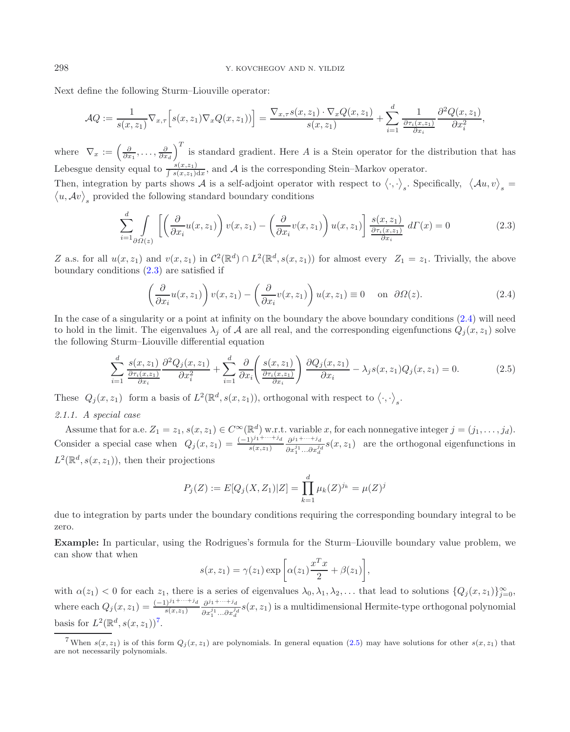Next define the following Sturm–Liouville operator:

<span id="page-5-1"></span><span id="page-5-0"></span>
$$
\mathcal{A}Q := \frac{1}{s(x,z_1)} \nabla_{x,\tau} \Big[ s(x,z_1) \nabla_x Q(x,z_1) \Big] = \frac{\nabla_{x,\tau} s(x,z_1) \cdot \nabla_x Q(x,z_1)}{s(x,z_1)} + \sum_{i=1}^d \frac{1}{\frac{\partial \tau_i(x,z_1)}{\partial x_i}} \frac{\partial^2 Q(x,z_1)}{\partial x_i^2},
$$

where  $\nabla_x := \left(\frac{\partial}{\partial x_1}, \ldots, \frac{\partial}{\partial x_d}\right)^T$  is standard gradient. Here A is a Stein operator for the distribution that has Lebesgue density equal to  $\frac{s(x,z_1)}{\int s(x,z_1)dx}$ , and A is the corresponding Stein–Markov operator.

Then, integration by parts shows A is a self-adjoint operator with respect to  $\langle \cdot, \cdot \rangle_s$ . Specifically,  $\langle Au, v \rangle_s = \langle u, Av \rangle$ , provided the following standard boundary conditions  $(u, Av)$ <sub>s</sub> provided the following standard boundary conditions

<span id="page-5-3"></span>
$$
\sum_{i=1}^{d} \int \limits_{\partial \Omega(z)} \left[ \left( \frac{\partial}{\partial x_i} u(x, z_1) \right) v(x, z_1) - \left( \frac{\partial}{\partial x_i} v(x, z_1) \right) u(x, z_1) \right] \frac{s(x, z_1)}{\frac{\partial \tau_i(x, z_1)}{\partial x_i}} d\Gamma(x) = 0 \tag{2.3}
$$

Z a.s. for all  $u(x, z_1)$  and  $v(x, z_1)$  in  $\mathcal{C}^2(\mathbb{R}^d) \cap L^2(\mathbb{R}^d, s(x, z_1))$  for almost every  $Z_1 = z_1$ . Trivially, the above boundary conditions [\(2.3\)](#page-5-0) are satisfied if

$$
\left(\frac{\partial}{\partial x_i}u(x,z_1)\right)v(x,z_1) - \left(\frac{\partial}{\partial x_i}v(x,z_1)\right)u(x,z_1) \equiv 0 \quad \text{on } \partial\Omega(z). \tag{2.4}
$$

In the case of a singularity or a point at infinity on the boundary the above boundary conditions  $(2.4)$  will need to hold in the limit. The eigenvalues  $\lambda_j$  of A are all real, and the corresponding eigenfunctions  $Q_j(x, z_1)$  solve the following Sturm–Liouville differential equation

$$
\sum_{i=1}^{d} \frac{s(x, z_1)}{\frac{\partial \tau_i(x, z_1)}{\partial x_i}} \frac{\partial^2 Q_j(x, z_1)}{\partial x_i^2} + \sum_{i=1}^{d} \frac{\partial}{\partial x_i} \left( \frac{s(x, z_1)}{\frac{\partial \tau_i(x, z_1)}{\partial x_i}} \right) \frac{\partial Q_j(x, z_1)}{\partial x_i} - \lambda_j s(x, z_1) Q_j(x, z_1) = 0.
$$
 (2.5)

These  $Q_j(x, z_1)$  form a basis of  $L^2(\mathbb{R}^d, s(x, z_1))$ , orthogonal with respect to  $\langle \cdot, \cdot \rangle_s$ .

## *2.1.1. A special case*

Assume that for a.e.  $Z_1 = z_1$ ,  $s(x, z_1) \in C^\infty(\mathbb{R}^d)$  w.r.t. variable x, for each nonnegative integer  $j = (j_1, \ldots, j_d)$ . Consider a special case when  $Q_j(x, z_1) = \frac{(-1)^{j_1 + \cdots + j_d}}{s(x, z_1)} \frac{\partial^{j_1 + \cdots + j_d}}{\partial x^{j_1} \cdots \partial x^{j_d}}$  $\frac{\partial^{j_1}}{\partial x_1^{j_1} \dots \partial x_d^{j_d}} s(x, z_1)$  are the orthogonal eigenfunctions in  $L^2(\mathbb{R}^d, s(x, z_1))$ , then their projections

$$
P_j(Z) := E[Q_j(X, Z_1)|Z] = \prod_{k=1}^d \mu_k(Z)^{j_k} = \mu(Z)^j
$$

<span id="page-5-2"></span>due to integration by parts under the boundary conditions requiring the corresponding boundary integral to be zero.

**Example:** In particular, using the Rodrigues's formula for the Sturm–Liouville boundary value problem, we can show that when

$$
s(x, z_1) = \gamma(z_1) \exp \left[ \alpha(z_1) \frac{x^T x}{2} + \beta(z_1) \right],
$$

with  $\alpha(z_1) < 0$  for each  $z_1$ , there is a series of eigenvalues  $\lambda_0, \lambda_1, \lambda_2, \ldots$  that lead to solutions  $\{Q_j(x, z_1)\}_{j=0}^{\infty}$ , where each  $Q_j(x, z_1) = \frac{(-1)^{j_1 + \dots + j_d}}{s(x, z_1)} \frac{\partial^{j_1 + \dots + j_d}}{\partial x_j^{j_1} \dots \partial x_j^{j_s}}$  $\frac{\partial^{j_1}}{\partial x_1^{j_1}...\partial x_d^{j_d}}s(x,z_1)$  is a multidimensional Hermite-type orthogonal polynomial basis for  $L^2(\mathbb{R}^d, s(x, z_1))^7$  $L^2(\mathbb{R}^d, s(x, z_1))^7$ .

<sup>&</sup>lt;sup>7</sup>When  $s(x, z_1)$  is of this form  $Q_i(x, z_1)$  are polynomials. In general equation [\(2.5\)](#page-5-3) may have solutions for other  $s(x, z_1)$  that are not necessarily polynomials.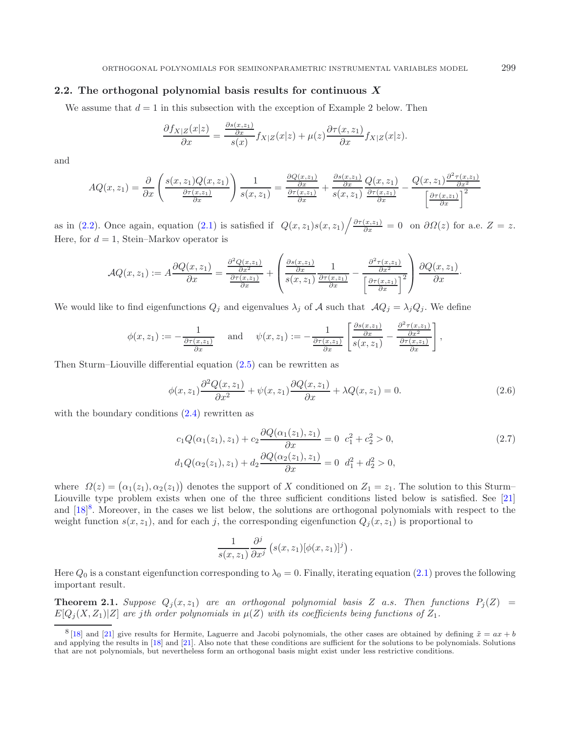# <span id="page-6-0"></span>**2.2. The orthogonal polynomial basis results for continuous** *X*

We assume that  $d = 1$  in this subsection with the exception of Example 2 below. Then

$$
\frac{\partial f_{X|Z}(x|z)}{\partial x} = \frac{\frac{\partial s(x,z_1)}{\partial x}}{s(x)} f_{X|Z}(x|z) + \mu(z) \frac{\partial \tau(x,z_1)}{\partial x} f_{X|Z}(x|z).
$$

and

$$
AQ(x, z_1) = \frac{\partial}{\partial x} \left( \frac{s(x, z_1)Q(x, z_1)}{\frac{\partial \tau(x, z_1)}{\partial x}} \right) \frac{1}{s(x, z_1)} = \frac{\frac{\partial Q(x, z_1)}{\partial x}}{\frac{\partial \tau(x, z_1)}{\partial x}} + \frac{\frac{\partial s(x, z_1)}{\partial x}}{s(x, z_1)} \frac{Q(x, z_1)}{\frac{\partial \tau(x, z_1)}{\partial x}} - \frac{Q(x, z_1) \frac{\partial^2 \tau(x, z_1)}{\partial x^2}}{\left[\frac{\partial \tau(x, z_1)}{\partial x}\right]^2}
$$

as in [\(2.2\)](#page-4-2). Once again, equation [\(2.1\)](#page-4-3) is satisfied if  $Q(x, z_1)s(x, z_1)\big/\frac{\partial \tau(x, z_1)}{\partial x} = 0$  on  $\partial\Omega(z)$  for a.e.  $Z = z$ . Here, for  $d = 1$ , Stein–Markov operator is

$$
AQ(x, z_1) := A \frac{\partial Q(x, z_1)}{\partial x} = \frac{\frac{\partial^2 Q(x, z_1)}{\partial x^2}}{\frac{\partial \tau(x, z_1)}{\partial x}} + \left( \frac{\frac{\partial s(x, z_1)}{\partial x}}{s(x, z_1)} \frac{1}{\frac{\partial \tau(x, z_1)}{\partial x}} - \frac{\frac{\partial^2 \tau(x, z_1)}{\partial x^2}}{\left[\frac{\partial \tau(x, z_1)}{\partial x}\right]^2} \right) \frac{\partial Q(x, z_1)}{\partial x}.
$$

We would like to find eigenfunctions  $Q_j$  and eigenvalues  $\lambda_j$  of A such that  $AQ_j = \lambda_j Q_j$ . We define

$$
\phi(x, z_1) := -\frac{1}{\frac{\partial \tau(x, z_1)}{\partial x}} \quad \text{and} \quad \psi(x, z_1) := -\frac{1}{\frac{\partial \tau(x, z_1)}{\partial x}} \left[ \frac{\frac{\partial s(x, z_1)}{\partial x}}{s(x, z_1)} - \frac{\frac{\partial^2 \tau(x, z_1)}{\partial x^2}}{\frac{\partial \tau(x, z_1)}{\partial x}} \right],
$$

Then Sturm–Liouville differential equation [\(2.5\)](#page-5-3) can be rewritten as

$$
\phi(x,z_1)\frac{\partial^2 Q(x,z_1)}{\partial x^2} + \psi(x,z_1)\frac{\partial Q(x,z_1)}{\partial x} + \lambda Q(x,z_1) = 0.
$$
\n(2.6)

<span id="page-6-2"></span>with the boundary conditions  $(2.4)$  rewritten as

$$
c_1 Q(\alpha_1(z_1), z_1) + c_2 \frac{\partial Q(\alpha_1(z_1), z_1)}{\partial x} = 0 \ c_1^2 + c_2^2 > 0,
$$
  
\n
$$
d_1 Q(\alpha_2(z_1), z_1) + d_2 \frac{\partial Q(\alpha_2(z_1), z_1)}{\partial x} = 0 \ d_1^2 + d_2^2 > 0,
$$
\n(2.7)

<span id="page-6-1"></span>where  $\Omega(z) = (\alpha_1(z_1), \alpha_2(z_1))$  denotes the support of X conditioned on  $Z_1 = z_1$ . The solution to this Sturm– Liouville type problem exists when one of the three sufficient conditions listed below is satisfied. See [\[21\]](#page-13-19) and  $[18]^8$  $[18]^8$  $[18]^8$ . Moreover, in the cases we list below, the solutions are orthogonal polynomials with respect to the weight function  $s(x, z_1)$ , and for each j, the corresponding eigenfunction  $Q_j(x, z_1)$  is proportional to

$$
\frac{1}{s(x,z_1)}\frac{\partial^j}{\partial x^j}\left(s(x,z_1)[\phi(x,z_1)]^j\right).
$$

Here  $Q_0$  is a constant eigenfunction corresponding to  $\lambda_0 = 0$ . Finally, iterating equation [\(2.1\)](#page-4-3) proves the following important result.

**Theorem 2.1.** *Suppose*  $Q_j(x, z_1)$  *are an orthogonal polynomial basis* Z *a.s. Then functions*  $P_j(Z)$  =  $E[Q_i(X, Z_1)|Z]$  *are jth order polynomials in*  $\mu(Z)$  *with its coefficients being functions of*  $Z_1$ *.* 

<sup>&</sup>lt;sup>8</sup> [\[18](#page-13-10)] and [\[21](#page-13-19)] give results for Hermite, Laguerre and Jacobi polynomials, the other cases are obtained by defining  $\tilde{x} = ax + b$ and applying the results in [\[18](#page-13-10)] and [\[21\]](#page-13-19). Also note that these conditions are sufficient for the solutions to be polynomials. Solutions that are not polynomials, but nevertheless form an orthogonal basis might exist under less restrictive conditions.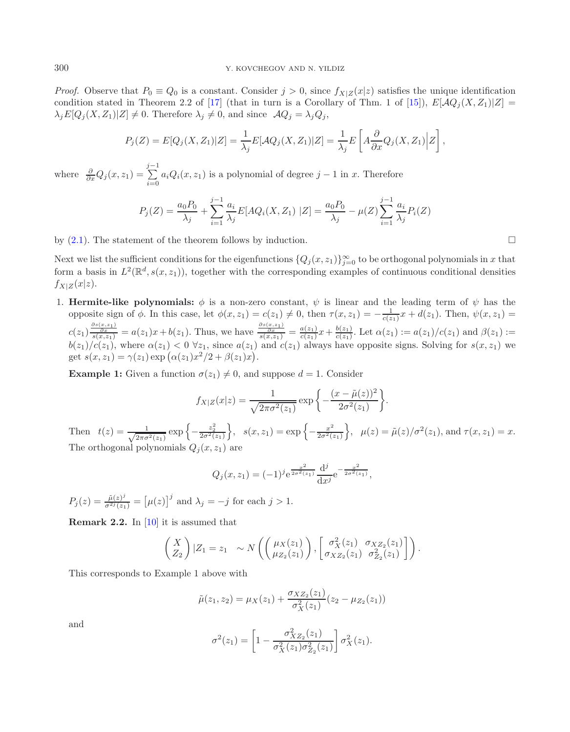*Proof.* Observe that  $P_0 \equiv Q_0$  is a constant. Consider  $j > 0$ , since  $f_{X|Z}(x|z)$  satisfies the unique identification condition stated in Theorem 2.2 of [\[17\]](#page-13-0) (that in turn is a Corollary of Thm. 1 of [\[15](#page-13-16)]),  $E[\mathcal{A}Q_i(X, Z_1)|Z] =$  $\lambda_j E[Q_j(X, Z_1)|Z] \neq 0$ . Therefore  $\lambda_j \neq 0$ , and since  $AQ_j = \lambda_j Q_j$ ,

$$
P_j(Z) = E[Q_j(X, Z_1)|Z] = \frac{1}{\lambda_j} E[\mathcal{A}Q_j(X, Z_1)|Z] = \frac{1}{\lambda_j} E\left[A\frac{\partial}{\partial x}Q_j(X, Z_1)|Z\right],
$$

where  $\frac{\partial}{\partial x}Q_j(x, z_1) = \sum_{i=0}^{j-1} a_i Q_i(x, z_1)$  is a polynomial of degree  $j-1$  in x. Therefore

$$
P_j(Z) = \frac{a_0 P_0}{\lambda_j} + \sum_{i=1}^{j-1} \frac{a_i}{\lambda_j} E[AQ_i(X, Z_1) | Z] = \frac{a_0 P_0}{\lambda_j} - \mu(Z) \sum_{i=1}^{j-1} \frac{a_i}{\lambda_j} P_i(Z)
$$

by  $(2.1)$ . The statement of the theorem follows by induction.

Next we list the sufficient conditions for the eigenfunctions  $\{Q_j(x,z_1)\}_{j=0}^{\infty}$  to be orthogonal polynomials in x that form a basis in  $L^2(\mathbb{R}^d, s(x, z_1))$ , together with the corresponding examples of continuous conditional densities  $f_{X|Z}(x|z)$ .

1. **Hermite-like polynomials:**  $\phi$  is a non-zero constant,  $\psi$  is linear and the leading term of  $\psi$  has the opposite sign of  $\phi$ . In this case, let  $\phi(x, z_1) = c(z_1) \neq 0$ , then  $\tau(x, z_1) = -\frac{1}{c(z_1)}x + d(z_1)$ . Then,  $\psi(x, z_1) =$  $c(z_1) \frac{\frac{\partial s(x,z_1)}{\partial x}}{s(x,z_1)} = a(z_1)x + b(z_1)$ . Thus, we have  $\frac{\frac{\partial s(x,z_1)}{\partial x}}{s(x,z_1)} = \frac{a(z_1)}{c(z_1)}x + \frac{b(z_1)}{c(z_1)}$ . Let  $\alpha(z_1) := a(z_1)/c(z_1)$  and  $\beta(z_1) :=$  $b(z_1)/c(z_1)$ , where  $\alpha(z_1) < 0 \ \forall z_1$ , since  $a(z_1)$  and  $c(z_1)$  always have opposite signs. Solving for  $s(x, z_1)$  we get  $s(x, z_1) = \gamma(z_1) \exp (\alpha(z_1)x^2/2 + \beta(z_1)x)$ .

**Example 1:** Given a function  $\sigma(z_1) \neq 0$ , and suppose  $d = 1$ . Consider

$$
f_{X|Z}(x|z) = \frac{1}{\sqrt{2\pi\sigma^2(z_1)}} \exp\left\{-\frac{(x-\tilde{\mu}(z))^2}{2\sigma^2(z_1)}\right\}.
$$

Then  $t(z) = \frac{1}{\sqrt{2\pi\sigma^2(z_1)}} \exp\left\{-\frac{z_2^2}{2\sigma^2(z_1)}\right\}, \quad s(x, z_1) = \exp\left\{-\frac{x^2}{2\sigma^2(z_1)}\right\}, \quad \mu(z) = \tilde{\mu}(z)/\sigma^2(z_1), \text{ and } \tau(x, z_1) = x.$ The orthogonal polynomials  $Q_i(x, z_1)$  are

$$
Q_j(x, z_1) = (-1)^j e^{\frac{x^2}{2\sigma^2(z_1)}} \frac{d^j}{dx^j} e^{-\frac{x^2}{2\sigma^2(z_1)}},
$$

 $P_j(z) = \frac{\tilde{\mu}(z)^j}{\sigma^{2j}(z_1)} = \left[\mu(z)\right]^j$  and  $\lambda_j = -j$  for each  $j > 1$ .

**Remark 2.2.** In [\[10](#page-13-2)] it is assumed that

$$
\begin{pmatrix} X \\ Z_2 \end{pmatrix} | Z_1 = z_1 \sim N \left( \begin{pmatrix} \mu_X(z_1) \\ \mu_{Z_2}(z_1) \end{pmatrix}, \begin{bmatrix} \sigma_X^2(z_1) & \sigma_{XZ_2}(z_1) \\ \sigma_{XZ_2}(z_1) & \sigma_{Z_2}^2(z_1) \end{bmatrix} \right).
$$

This corresponds to Example 1 above with

$$
\tilde{\mu}(z_1, z_2) = \mu_X(z_1) + \frac{\sigma_{XZ_2}(z_1)}{\sigma_X^2(z_1)}(z_2 - \mu_{Z_2}(z_1))
$$

and

$$
\sigma^{2}(z_{1}) = \left[1 - \frac{\sigma_{XZ_{2}}^{2}(z_{1})}{\sigma_{X}^{2}(z_{1})\sigma_{Z_{2}}^{2}(z_{1})}\right]\sigma_{X}^{2}(z_{1}).
$$

 $\Box$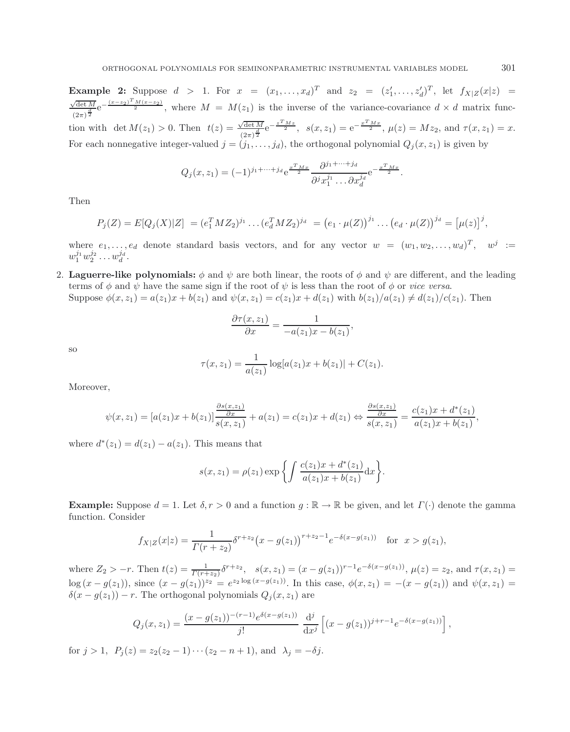**Example 2:** Suppose  $d > 1$ . For  $x = (x_1, ..., x_d)^T$  and  $z_2 = (z'_1, ..., z'_d)^T$ , let  $f_{X|Z}(x|z) =$  $\frac{\sqrt{\det M}}{(2\pi)^{\frac{d}{2}}}e^{-\frac{(x-z_2)^T M(x-z_2)}{2}}$ , where  $M = M(z_1)$  is the inverse of the variance-covariance  $d \times d$  matrix func- $(2\pi)^{\frac{1}{2}}$ <br>tion with det  $M(z_1) > 0$ . Then  $t(z) = \frac{\sqrt{\det M}}{(2\pi)^{\frac{d}{2}}} e^{-\frac{z^T M z}{2}}$ ,  $s(x, z_1) = e^{-\frac{x^T M x}{2}}$ ,  $\mu(z) = Mz_2$ , and  $\tau(x, z_1) = x$ . For each nonnegative integer-valued  $j = (j_1, \ldots, j_d)$ , the orthogonal polynomial  $Q_j(x, z_1)$  is given by

$$
Q_j(x, z_1) = (-1)^{j_1 + \dots + j_d} e^{\frac{x^T M x}{2}} \frac{\partial^{j_1 + \dots + j_d}}{\partial^j x_1^{j_1} \dots \partial x_d^{j_d}} e^{-\frac{x^T M x}{2}}.
$$

Then

$$
P_j(Z) = E[Q_j(X)|Z] = (e_1^T M Z_2)^{j_1} \dots (e_d^T M Z_2)^{j_d} = (e_1 \cdot \mu(Z))^{j_1} \dots (e_d \cdot \mu(Z))^{j_d} = [\mu(z)]^j,
$$

where  $e_1,\ldots,e_d$  denote standard basis vectors, and for any vector  $w = (w_1, w_2,\ldots,w_d)^T$ ,  $w^j :=$  $w_1^{j_1} w_2^{j_2} \ldots w_d^{j_d}$ .

2. **Laguerre-like polynomials:**  $\phi$  and  $\psi$  are both linear, the roots of  $\phi$  and  $\psi$  are different, and the leading terms of  $\phi$  and  $\psi$  have the same sign if the root of  $\psi$  is less than the root of  $\phi$  or *vice versa*. Suppose  $\phi(x, z_1) = a(z_1)x + b(z_1)$  and  $\psi(x, z_1) = c(z_1)x + d(z_1)$  with  $b(z_1)/a(z_1) \neq d(z_1)/c(z_1)$ . Then

$$
\frac{\partial \tau(x, z_1)}{\partial x} = \frac{1}{-a(z_1)x - b(z_1)},
$$

so

$$
\tau(x, z_1) = \frac{1}{a(z_1)} \log[a(z_1)x + b(z_1)] + C(z_1).
$$

Moreover,

$$
\psi(x, z_1) = [a(z_1)x + b(z_1)] \frac{\frac{\partial s(x, z_1)}{\partial x}}{s(x, z_1)} + a(z_1) = c(z_1)x + d(z_1) \Leftrightarrow \frac{\frac{\partial s(x, z_1)}{\partial x}}{s(x, z_1)} = \frac{c(z_1)x + d^*(z_1)}{a(z_1)x + b(z_1)},
$$

where  $d^*(z_1) = d(z_1) - a(z_1)$ . This means that

$$
s(x, z_1) = \rho(z_1) \exp \left\{ \int \frac{c(z_1)x + d^*(z_1)}{a(z_1)x + b(z_1)} dx \right\}.
$$

**Example:** Suppose  $d = 1$ . Let  $\delta, r > 0$  and a function  $g : \mathbb{R} \to \mathbb{R}$  be given, and let  $\Gamma(\cdot)$  denote the gamma function. Consider

$$
f_{X|Z}(x|z) = \frac{1}{\Gamma(r+z_2)} \delta^{r+z_2} (x - g(z_1))^{r+z_2-1} e^{-\delta(x - g(z_1))} \quad \text{for } x > g(z_1),
$$

where  $Z_2 > -r$ . Then  $t(z) = \frac{1}{\Gamma(r+z_2)} \delta^{r+z_2}$ ,  $s(x, z_1) = (x - g(z_1))^{r-1} e^{-\delta(x - g(z_1))}$ ,  $\mu(z) = z_2$ , and  $\tau(x, z_1) =$  $\log (x - g(z_1))$ , since  $(x - g(z_1))^{z_2} = e^{z_2 \log (x - g(z_1))}$ . In this case,  $\phi(x, z_1) = -(x - g(z_1))$  and  $\psi(x, z_1) =$  $\delta(x - g(z_1)) - r$ . The orthogonal polynomials  $Q_j(x, z_1)$  are

$$
Q_j(x, z_1) = \frac{(x - g(z_1))^{-(r-1)} e^{\delta(x - g(z_1))}}{j!} \frac{\mathrm{d}^j}{\mathrm{d}x^j} \left[ (x - g(z_1))^{j+r-1} e^{-\delta(x - g(z_1))} \right]
$$

,

for  $j > 1$ ,  $P_j(z) = z_2(z_2 - 1) \cdots (z_2 - n + 1)$ , and  $\lambda_j = -\delta j$ .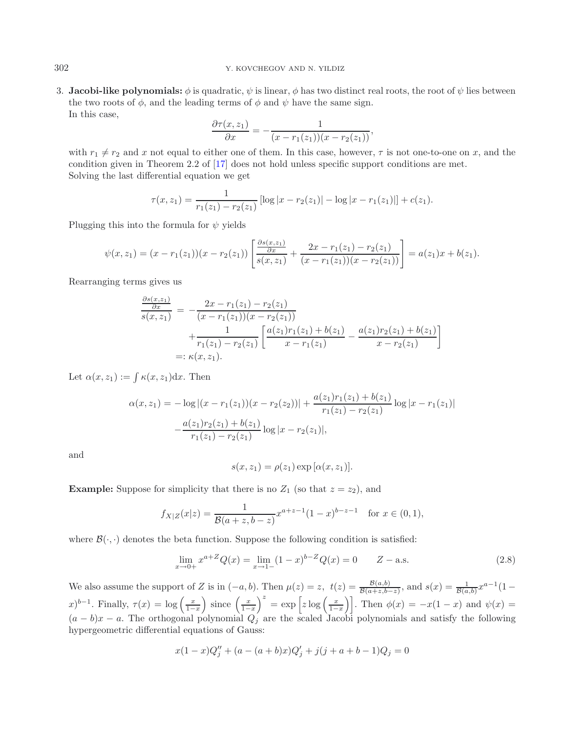### 302 Y. KOVCHEGOV AND N. YILDIZ

3. **Jacobi-like polynomials:**  $\phi$  is quadratic,  $\psi$  is linear,  $\phi$  has two distinct real roots, the root of  $\psi$  lies between the two roots of  $\phi$ , and the leading terms of  $\phi$  and  $\psi$  have the same sign. In this case,

$$
\frac{\partial \tau(x, z_1)}{\partial x} = -\frac{1}{(x - r_1(z_1))(x - r_2(z_1))},
$$

with  $r_1 \neq r_2$  and x not equal to either one of them. In this case, however,  $\tau$  is not one-to-one on x, and the condition given in Theorem 2.2 of [\[17](#page-13-0)] does not hold unless specific support conditions are met. Solving the last differential equation we get

$$
\tau(x, z_1) = \frac{1}{r_1(z_1) - r_2(z_1)} \left[ \log|x - r_2(z_1)| - \log|x - r_1(z_1)| \right] + c(z_1).
$$

Plugging this into the formula for  $\psi$  yields

$$
\psi(x,z_1)=(x-r_1(z_1))(x-r_2(z_1))\left[\frac{\frac{\partial s(x,z_1)}{\partial x}}{s(x,z_1)}+\frac{2x-r_1(z_1)-r_2(z_1)}{(x-r_1(z_1))(x-r_2(z_1))}\right]=a(z_1)x+b(z_1).
$$

Rearranging terms gives us

$$
\frac{\frac{\partial s(x,z_1)}{\partial x}}{s(x,z_1)} = -\frac{2x - r_1(z_1) - r_2(z_1)}{(x - r_1(z_1))(x - r_2(z_1))} + \frac{1}{r_1(z_1) - r_2(z_1)} \left[ \frac{a(z_1)r_1(z_1) + b(z_1)}{x - r_1(z_1)} - \frac{a(z_1)r_2(z_1) + b(z_1)}{x - r_2(z_1)} \right]
$$
\n
$$
=:\kappa(x,z_1).
$$

Let  $\alpha(x, z_1) := \int \kappa(x, z_1) dx$ . Then

$$
\alpha(x, z_1) = -\log|(x - r_1(z_1))(x - r_2(z_2))| + \frac{a(z_1)r_1(z_1) + b(z_1)}{r_1(z_1) - r_2(z_1)}\log|x - r_1(z_1)|
$$

$$
-\frac{a(z_1)r_2(z_1) + b(z_1)}{r_1(z_1) - r_2(z_1)}\log|x - r_2(z_1)|,
$$

and

<span id="page-9-0"></span>
$$
s(x, z1) = \rho(z1) \exp [\alpha(x, z1)].
$$

**Example:** Suppose for simplicity that there is no  $Z_1$  (so that  $z = z_2$ ), and

$$
f_{X|Z}(x|z) = \frac{1}{\mathcal{B}(a+z, b-z)} x^{a+z-1} (1-x)^{b-z-1} \text{ for } x \in (0,1),
$$

where  $\mathcal{B}(\cdot, \cdot)$  denotes the beta function. Suppose the following condition is satisfied:

$$
\lim_{x \to 0+} x^{a+Z} Q(x) = \lim_{x \to 1-} (1-x)^{b-Z} Q(x) = 0 \qquad Z - \text{a.s.}
$$
\n(2.8)

We also assume the support of Z is in  $(-a, b)$ . Then  $\mu(z) = z$ ,  $t(z) = \frac{\mathcal{B}(a, b)}{\mathcal{B}(a+z, b-z)}$ , and  $s(x) = \frac{1}{\mathcal{B}(a, b)} x^{a-1} (1$  $f(x)^{b-1}$ . Finally,  $\tau(x) = \log \left( \frac{x}{1-x} \right)$ ) since  $\left(\frac{x}{1-x}\right)$  $\int_0^z = \exp\left[z \log\left(\frac{x}{1-x}\right)\right]$ . Then  $\phi(x) = -x(1-x)$  and  $\psi(x) =$  $(a - b)x - a$ . The orthogonal polynomial  $Q<sub>j</sub>$  are the scaled Jacobi polynomials and satisfy the following hypergeometric differential equations of Gauss:

$$
x(1-x)Q''_j + (a - (a+b)x)Q'_j + j(j+a+b-1)Q_j = 0
$$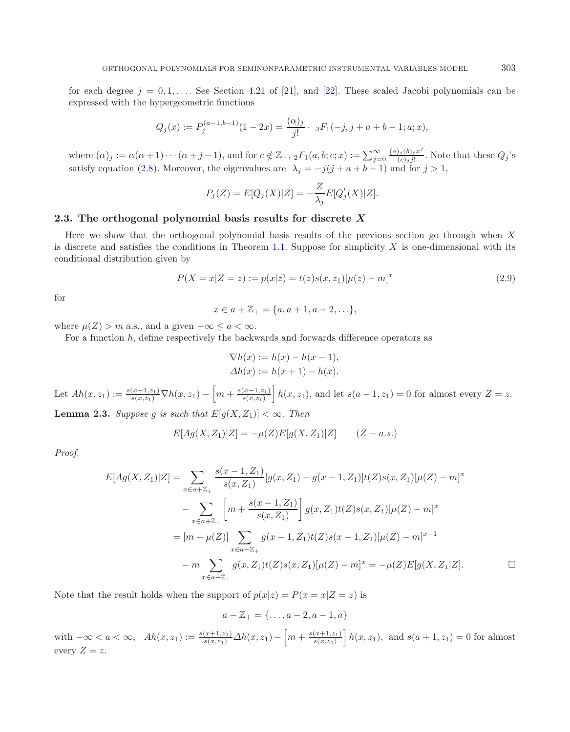for each degree  $j = 0, 1, \ldots$ . See Section 4.21 of [\[21\]](#page-13-19), and [\[22\]](#page-13-20). These scaled Jacobi polynomials can be expressed with the hypergeometric functions

$$
Q_j(x) := P_j^{(a-1,b-1)}(1-2x) = \frac{(\alpha)_j}{j!} \cdot 2F_1(-j, j+a+b-1; a; x),
$$

where  $(\alpha)_j := \alpha(\alpha+1)\cdots(\alpha+j-1)$ , and for  $c \notin \mathbb{Z}_-, 2F_1(a, b; c; x) := \sum_{j=0}^{\infty}$  $\frac{(a)_j (b)_j x^j}{(c)_j j!}$ . Note that these  $Q_j$ 's satisfy equation [\(2.8\)](#page-9-0). Moreover, the eigenvalues are  $\lambda_j = -j(j+a+b-1)$  and for  $j > 1$ ,

$$
P_j(Z) = E[Q_j(X)|Z] = -\frac{Z}{\lambda_j}E[Q'_j(X)|Z].
$$

# <span id="page-10-0"></span>**2.3. The orthogonal polynomial basis results for discrete** *X*

Here we show that the orthogonal polynomial basis results of the previous section go through when X is discrete and satisfies the conditions in Theorem [1.1.](#page-3-0) Suppose for simplicity  $X$  is one-dimensional with its conditional distribution given by

$$
P(X = x|Z = z) := p(x|z) = t(z)s(x, z_1)[\mu(z) - m]^x
$$
\n(2.9)

for

$$
x \in a + \mathbb{Z}_{+} = \{a, a+1, a+2, \ldots\},\
$$

where  $\mu(Z) > m$  a.s., and a given  $-\infty \le a < \infty$ .

For a function h, define respectively the backwards and forwards difference operators as

$$
\nabla h(x) := h(x) - h(x - 1),
$$
  
\n
$$
\Delta h(x) := h(x + 1) - h(x).
$$

Let  $Ah(x, z_1) := \frac{s(x-1, z_1)}{s(x, z_1)} \nabla h(x, z_1) - \left[ m + \frac{s(x-1, z_1)}{s(x, z_1)} \right] h(x, z_1)$ , and let  $s(a-1, z_1) = 0$  for almost every  $Z = z$ .

**Lemma 2.3.** *Suppose* g *is such that*  $E[g(X, Z_1)] < \infty$ *. Then* 

$$
E[Ag(X, Z_1)|Z] = -\mu(Z)E[g(X, Z_1)|Z] \qquad (Z - a.s.)
$$

*Proof.*

$$
E[Ag(X, Z_1)|Z] = \sum_{x \in a + \mathbb{Z}_+} \frac{s(x - 1, Z_1)}{s(x, Z_1)} [g(x, Z_1) - g(x - 1, Z_1)]t(Z)s(x, Z_1)[\mu(Z) - m]^x
$$
  

$$
- \sum_{x \in a + \mathbb{Z}_+} \left[ m + \frac{s(x - 1, Z_1)}{s(x, Z_1)} \right] g(x, Z_1)t(Z)s(x, Z_1)[\mu(Z) - m]^x
$$
  

$$
= [m - \mu(Z)] \sum_{x \in a + \mathbb{Z}_+} g(x - 1, Z_1)t(Z)s(x - 1, Z_1)[\mu(Z) - m]^{x - 1}
$$
  

$$
- m \sum_{x \in a + \mathbb{Z}_+} g(x, Z_1)t(Z)s(x, Z_1)[\mu(Z) - m]^x = -\mu(Z)E[g(X, Z_1|Z].
$$

Note that the result holds when the support of  $p(x|z) = P(x = x|Z = z)$  is

$$
a - \mathbb{Z}_+ = \{\ldots, a-2, a-1, a\}
$$

with  $-\infty < a < \infty$ ,  $Ah(x, z_1) := \frac{s(x+1, z_1)}{s(x, z_1)} \Delta h(x, z_1) - \left[ m + \frac{s(x+1, z_1)}{s(x, z_1)} \right] h(x, z_1)$ , and  $s(a+1, z_1) = 0$  for almost every  $Z = z$ .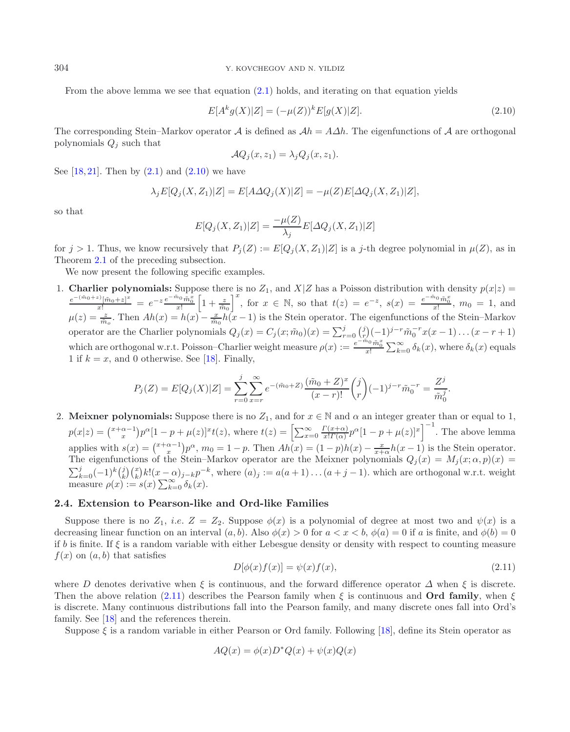From the above lemma we see that equation [\(2.1\)](#page-4-3) holds, and iterating on that equation yields

<span id="page-11-0"></span>
$$
E[A^k g(X)|Z] = (-\mu(Z))^k E[g(X)|Z].
$$
\n(2.10)

The corresponding Stein–Markov operator A is defined as  $\mathcal{A}h = A\Delta h$ . The eigenfunctions of A are orthogonal polynomials  $Q_i$  such that

$$
\mathcal{A}Q_j(x, z_1) = \lambda_j Q_j(x, z_1).
$$

See  $[18, 21]$  $[18, 21]$  $[18, 21]$  $[18, 21]$ . Then by  $(2.1)$  and  $(2.10)$  we have

$$
\lambda_j E[Q_j(X, Z_1)|Z] = E[A\Delta Q_j(X)|Z] = -\mu(Z)E[\Delta Q_j(X, Z_1)|Z],
$$

so that

$$
E[Q_j(X, Z_1)|Z] = \frac{-\mu(Z)}{\lambda_j} E[\Delta Q_j(X, Z_1)|Z]
$$

for  $j > 1$ . Thus, we know recursively that  $P_i(Z) := E[Q_i(X, Z_1)|Z]$  is a j-th degree polynomial in  $\mu(Z)$ , as in Theorem [2.1](#page-6-2) of the preceding subsection.

We now present the following specific examples.

1. **Charlier polynomials:** Suppose there is no  $Z_1$ , and  $X|Z$  has a Poisson distribution with density  $p(x|z)$  =  $\frac{e^{-(\tilde{m}_0+z)}[\tilde{m}_0+z]^x}{x!} = e^{-z} \frac{e^{-\tilde{m}_0} \tilde{m}_0^z}{x!} \left[1+\frac{z}{\tilde{m}_0}\right]^x$ , for  $x \in \mathbb{N}$ , so that  $t(z) = e^{-z}$ ,  $s(x) = \frac{e^{-\tilde{m}_0} \tilde{m}_0^x}{x!}$ ,  $m_0 = 1$ , and  $\mu(z) = \frac{z}{\tilde{m}_o}$ . Then  $Ah(x) = h(x) - \frac{x}{\tilde{m}_o}h(x-1)$  is the Stein operator. The eigenfunctions of the Stein–Markov operator are the Charlier polynomials  $Q_j(x) = C_j(x; \tilde{m}_0)(x) = \sum_{r=0}^j {j \choose r} (-1)^{j-r} \tilde{m}_0^{-r} x(x-1) \dots (x-r+1)$ which are orthogonal w.r.t. Poisson–Charlier weight measure  $\rho(x) := \frac{e^{-\tilde{m}_0}\tilde{m}_0^x}{x!} \sum_{k=0}^{\infty} \delta_k(x)$ , where  $\delta_k(x)$  equals 1 if  $k = x$ , and 0 otherwise. See [\[18\]](#page-13-10). Finally,

$$
P_j(Z) = E[Q_j(X)|Z] = \sum_{r=0}^j \sum_{x=r}^{\infty} e^{-(\tilde{m}_0 + Z)} \frac{(\tilde{m}_0 + Z)^x}{(x-r)!} {j \choose r} (-1)^{j-r} \tilde{m}_0^{-r} = \frac{Z^j}{\tilde{m}_0^j}.
$$

<span id="page-11-1"></span>2. **Meixner polynomials:** Suppose there is no  $Z_1$ , and for  $x \in \mathbb{N}$  and  $\alpha$  an integer greater than or equal to 1,  $p(x|z) = {x+\alpha-1 \choose x} p^{\alpha} [1-p+\mu(z)]^x t(z)$ , where  $t(z) = \left[\sum_{x=0}^{\infty} \frac{\Gamma(x+\alpha)}{x!\Gamma(\alpha)} p^{\alpha} [1-p+\mu(z)]^x\right]^{-1}$ . The above lemma applies with  $s(x) = {x+\alpha-1 \choose x} p^{\alpha}$ ,  $m_0 = 1-p$ . Then  $Ah(x) = (1-p)h(x) - \frac{x}{x+\alpha}h(x-1)$  is the Stein operator. The eigenfunctions of the Stein–Markov operator are the Meixner polynomials  $Q_j(x) = M_j(x; \alpha, p)(x) =$  $\sum_{k=0}^j (-1)^k {j \choose k} {x \choose k} k! (x-\alpha)_{j-k} p^{-k}$ , where  $(a)_j := a(a+1) \dots (a+j-1)$ . which are orthogonal w.r.t. weight measure  $\rho(x) := s(x) \sum_{k=0}^{\infty} \delta_k(x)$ .

# **2.4. Extension to Pearson-like and Ord-like Families**

Suppose there is no  $Z_1$ , *i.e.*  $Z = Z_2$ . Suppose  $\phi(x)$  is a polynomial of degree at most two and  $\psi(x)$  is a decreasing linear function on an interval  $(a, b)$ . Also  $\phi(x) > 0$  for  $a < x < b$ ,  $\phi(a) = 0$  if a is finite, and  $\phi(b) = 0$ if b is finite. If  $\xi$  is a random variable with either Lebesgue density or density with respect to counting measure  $f(x)$  on  $(a, b)$  that satisfies

$$
D[\phi(x)f(x)] = \psi(x)f(x),\tag{2.11}
$$

where D denotes derivative when  $\xi$  is continuous, and the forward difference operator  $\Delta$  when  $\xi$  is discrete. Then the above relation  $(2.11)$  describes the Pearson family when  $\xi$  is continuous and **Ord family**, when  $\xi$ is discrete. Many continuous distributions fall into the Pearson family, and many discrete ones fall into Ord's family. See [\[18\]](#page-13-10) and the references therein.

Suppose  $\xi$  is a random variable in either Pearson or Ord family. Following [\[18\]](#page-13-10), define its Stein operator as

$$
AQ(x) = \phi(x)D^*Q(x) + \psi(x)Q(x)
$$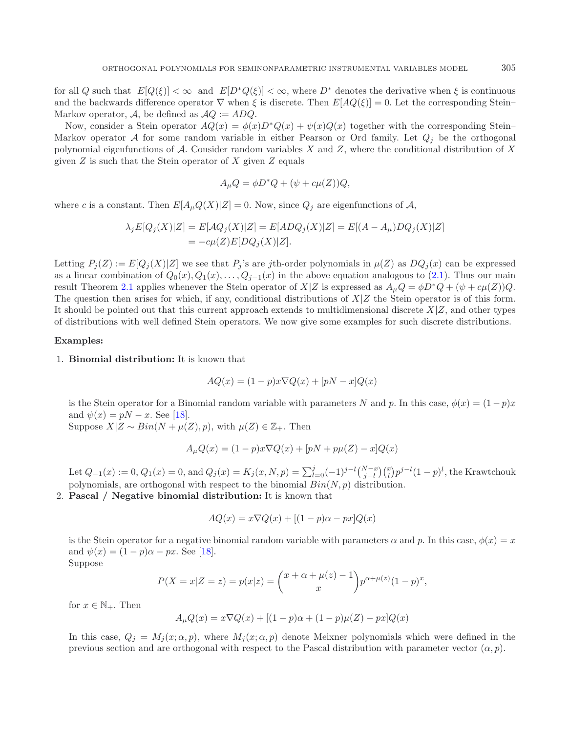for all Q such that  $E[Q(\xi)] < \infty$  and  $E[D^*Q(\xi)] < \infty$ , where  $D^*$  denotes the derivative when  $\xi$  is continuous and the backwards difference operator  $\nabla$  when  $\xi$  is discrete. Then  $E[AQ(\xi)]=0$ . Let the corresponding Stein– Markov operator, A, be defined as  $AQ := ADQ$ .

Now, consider a Stein operator  $AQ(x) = \phi(x)D^*Q(x) + \psi(x)Q(x)$  together with the corresponding Stein– Markov operator A for some random variable in either Pearson or Ord family. Let  $Q_i$  be the orthogonal polynomial eigenfunctions of  $A$ . Consider random variables  $X$  and  $Z$ , where the conditional distribution of  $X$ given  $Z$  is such that the Stein operator of  $X$  given  $Z$  equals

$$
A_{\mu}Q = \phi D^*Q + (\psi + c\mu(Z))Q,
$$

where c is a constant. Then  $E[A_\mu Q(X)|Z] = 0$ . Now, since  $Q_j$  are eigenfunctions of A,

$$
\lambda_j E[Q_j(X)|Z] = E[AQ_j(X)|Z] = E[ADQ_j(X)|Z] = E[(A - A_\mu)DQ_j(X)|Z]
$$
  
= 
$$
-c\mu(Z)E[DQ_j(X)|Z].
$$

Letting  $P_j(Z) := E[Q_j(X)|Z]$  we see that  $P_j$ 's are jth-order polynomials in  $\mu(Z)$  as  $DQ_j(x)$  can be expressed as a linear combination of  $Q_0(x), Q_1(x),...,Q_{j-1}(x)$  in the above equation analogous to [\(2.1\)](#page-4-3). Thus our main result Theorem [2.1](#page-6-2) applies whenever the Stein operator of  $X|Z$  is expressed as  $A_\mu Q = \phi D^*Q + (\psi + c\mu(Z))Q$ . The question then arises for which, if any, conditional distributions of  $X/Z$  the Stein operator is of this form. It should be pointed out that this current approach extends to multidimensional discrete  $X|Z$ , and other types of distributions with well defined Stein operators. We now give some examples for such discrete distributions.

#### **Examples:**

#### 1. **Binomial distribution:** It is known that

$$
AQ(x) = (1 - p)x \nabla Q(x) + [pN - x]Q(x)
$$

is the Stein operator for a Binomial random variable with parameters N and p. In this case,  $\phi(x) = (1 - p)x$ and  $\psi(x) = pN - x$ . See [\[18](#page-13-10)]. Suppose  $X|Z \sim Bin(N + \mu(Z), p)$ , with  $\mu(Z) \in \mathbb{Z}_+$ . Then

$$
A_{\mu}Q(x) = (1 - p)x \nabla Q(x) + [pN + p\mu(Z) - x]Q(x)
$$

Let  $Q_{-1}(x) := 0$ ,  $Q_1(x) = 0$ , and  $Q_j(x) = K_j(x, N, p) = \sum_{l=0}^j (-1)^{j-l} {N-x \choose j-l} {x \choose l} p^{j-l} (1-p)^l$ , the Krawtchouk polynomials, are orthogonal with respect to the binomial  $Bin(N, p)$  distribution.

2. **Pascal / Negative binomial distribution:** It is known that

$$
AQ(x) = x\nabla Q(x) + [(1-p)\alpha - px]Q(x)
$$

is the Stein operator for a negative binomial random variable with parameters  $\alpha$  and p. In this case,  $\phi(x) = x$ and  $\psi(x) = (1 - p)\alpha - px$ . See [\[18](#page-13-10)].

Suppose

$$
P(X = x|Z = z) = p(x|z) = {x + \alpha + \mu(z) - 1 \choose x} p^{\alpha + \mu(z)} (1 - p)^x,
$$

for  $x \in \mathbb{N}_+$ . Then

$$
A_{\mu}Q(x) = x \nabla Q(x) + [(1-p)\alpha + (1-p)\mu(Z) - px]Q(x)
$$

In this case,  $Q_i = M_i(x; \alpha, p)$ , where  $M_i(x; \alpha, p)$  denote Meixner polynomials which were defined in the previous section and are orthogonal with respect to the Pascal distribution with parameter vector  $(\alpha, p)$ .